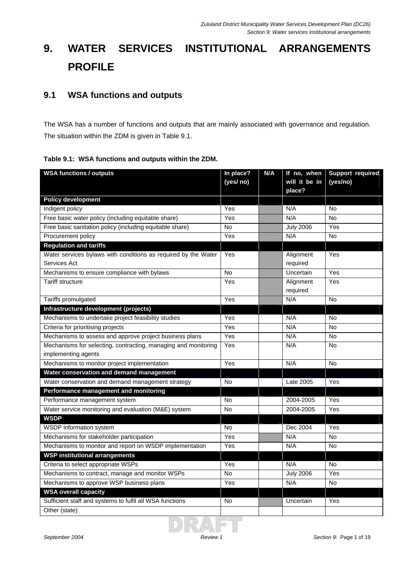# **9. WATER SERVICES INSTITUTIONAL ARRANGEMENTS PROFILE**

#### **9.1 WSA functions and outputs**

The WSA has a number of functions and outputs that are mainly associated with governance and regulation. The situation within the ZDM is given in Table 9.1.

|  |  |  | Table 9.1: WSA functions and outputs within the ZDM. |
|--|--|--|------------------------------------------------------|
|--|--|--|------------------------------------------------------|

| <b>WSA functions / outputs</b>                                 | In place? | N/A | If no, when             | <b>Support required</b> |
|----------------------------------------------------------------|-----------|-----|-------------------------|-------------------------|
|                                                                | (yes/ no) |     | will it be in<br>place? | (yes/no)                |
| <b>Policy development</b>                                      |           |     |                         |                         |
| Indigent policy                                                | Yes       |     | N/A                     | <b>No</b>               |
| Free basic water policy (including equitable share)            | Yes       |     | N/A                     | <b>No</b>               |
| Free basic sanitation policy (including equitable share)       | No        |     | <b>July 2006</b>        | Yes                     |
| Procurement policy                                             | Yes       |     | N/A                     | <b>No</b>               |
| <b>Regulation and tariffs</b>                                  |           |     |                         |                         |
| Water services bylaws with conditions as required by the Water | Yes       |     | Alignment               | Yes                     |
| Services Act                                                   |           |     | required                |                         |
| Mechanisms to ensure compliance with bylaws                    | <b>No</b> |     | Uncertain               | Yes                     |
| <b>Tariff structure</b>                                        | Yes       |     | Alignment               | Yes                     |
|                                                                |           |     | required                |                         |
| Tariffs promulgated                                            | Yes       |     | N/A                     | <b>No</b>               |
| Infrastructure development (projects)                          |           |     |                         |                         |
| Mechanisms to undertake project feasibility studies            | Yes       |     | N/A                     | No                      |
| Criteria for prioritising projects                             | Yes       |     | N/A                     | No                      |
| Mechanisms to assess and approve project business plans        | Yes       |     | N/A                     | No                      |
| Mechanisms for selecting, contracting, managing and monitoring | Yes       |     | N/A                     | <b>No</b>               |
| implementing agents                                            |           |     |                         |                         |
| Mechanisms to monitor project implementation                   | Yes       |     | N/A                     | No                      |
| Water conservation and demand management                       |           |     |                         |                         |
| Water conservation and demand management strategy              | No        |     | Late 2005               | Yes                     |
| Performance management and monitoring                          |           |     |                         |                         |
| Performance management system                                  | No        |     | 2004-2005               | Yes                     |
| Water service monitoring and evaluation (M&E) system           | No        |     | 2004-2005               | Yes                     |
| <b>WSDP</b>                                                    |           |     |                         |                         |
| WSDP information system                                        | <b>No</b> |     | Dec 2004                | Yes                     |
| Mechanisms for stakeholder participation                       | Yes       |     | N/A                     | <b>No</b>               |
| Mechanisms to monitor and report on WSDP implementation        | Yes       |     | N/A                     | <b>No</b>               |
| <b>WSP institutional arrangements</b>                          |           |     |                         |                         |
| Criteria to select appropriate WSPs                            | Yes       |     | N/A                     | <b>No</b>               |
| Mechanisms to contract, manage and monitor WSPs                | No        |     | <b>July 2006</b>        | Yes                     |
| Mechanisms to approve WSP business plans                       | Yes       |     | N/A                     | No                      |
| <b>WSA overall capacity</b>                                    |           |     |                         |                         |
| Sufficient staff and systems to fulfil all WSA functions       | No        |     | Uncertain               | Yes                     |
| Other (state)                                                  |           |     |                         |                         |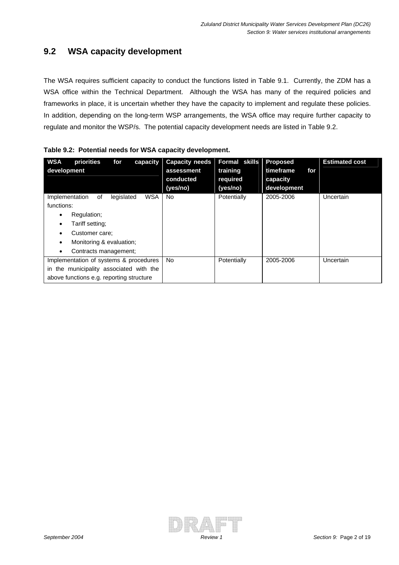## **9.2 WSA capacity development**

The WSA requires sufficient capacity to conduct the functions listed in Table 9.1. Currently, the ZDM has a WSA office within the Technical Department. Although the WSA has many of the required policies and frameworks in place, it is uncertain whether they have the capacity to implement and regulate these policies. In addition, depending on the long-term WSP arrangements, the WSA office may require further capacity to regulate and monitor the WSP/s. The potential capacity development needs are listed in Table 9.2.

| <b>WSA</b><br>development | priorities<br>for                        | capacity   | <b>Capacity needs</b><br>assessment<br>conducted<br>(yes/no) | Formal skills<br>training<br>required<br>(yes/no) | <b>Proposed</b><br>timeframe<br>for<br>capacity<br>development | <b>Estimated cost</b> |
|---------------------------|------------------------------------------|------------|--------------------------------------------------------------|---------------------------------------------------|----------------------------------------------------------------|-----------------------|
| Implementation            | legislated<br>οf                         | <b>WSA</b> | No.                                                          | Potentially                                       | 2005-2006                                                      | Uncertain             |
| functions:<br>٠           | Regulation;                              |            |                                                              |                                                   |                                                                |                       |
|                           | Tariff setting;                          |            |                                                              |                                                   |                                                                |                       |
|                           | Customer care:                           |            |                                                              |                                                   |                                                                |                       |
|                           | Monitoring & evaluation;                 |            |                                                              |                                                   |                                                                |                       |
|                           | Contracts management;                    |            |                                                              |                                                   |                                                                |                       |
|                           | Implementation of systems & procedures   |            | No.                                                          | Potentially                                       | 2005-2006                                                      | Uncertain             |
|                           | in the municipality associated with the  |            |                                                              |                                                   |                                                                |                       |
|                           | above functions e.g. reporting structure |            |                                                              |                                                   |                                                                |                       |

|  |  | Table 9.2: Potential needs for WSA capacity development. |  |  |  |  |
|--|--|----------------------------------------------------------|--|--|--|--|
|--|--|----------------------------------------------------------|--|--|--|--|

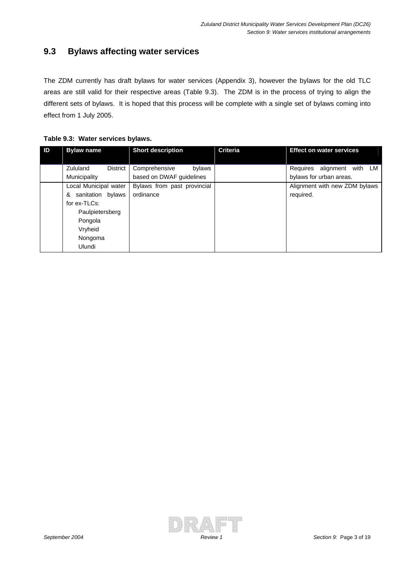#### **9.3 Bylaws affecting water services**

The ZDM currently has draft bylaws for water services (Appendix 3), however the bylaws for the old TLC areas are still valid for their respective areas (Table 9.3). The ZDM is in the process of trying to align the different sets of bylaws. It is hoped that this process will be complete with a single set of bylaws coming into effect from 1 July 2005.

| ID | <b>Bylaw name</b>                                               | <b>Short description</b>                            | <b>Criteria</b> | <b>Effect on water services</b>                          |
|----|-----------------------------------------------------------------|-----------------------------------------------------|-----------------|----------------------------------------------------------|
|    | Zululand<br><b>District</b><br>Municipality                     | Comprehensive<br>bylaws<br>based on DWAF guidelines |                 | Requires alignment<br>with LM<br>bylaws for urban areas. |
|    | Local Municipal water<br>sanitation bylaws<br>&<br>for ex-TLCs: | Bylaws from past provincial<br>ordinance            |                 | Alignment with new ZDM bylaws<br>required.               |
|    | Paulpietersberg<br>Pongola<br>Vryheid<br>Nongoma<br>Ulundi      |                                                     |                 |                                                          |

**Table 9.3: Water services bylaws.** 

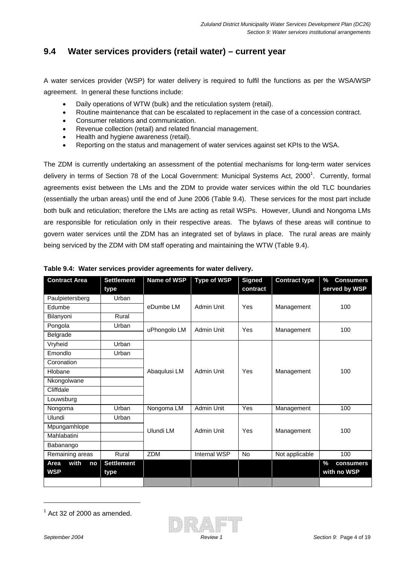## **9.4 Water services providers (retail water) – current year**

A water services provider (WSP) for water delivery is required to fulfil the functions as per the WSA/WSP agreement. In general these functions include:

- Daily operations of WTW (bulk) and the reticulation system (retail).
- Routine maintenance that can be escalated to replacement in the case of a concession contract.
- Consumer relations and communication.
- Revenue collection (retail) and related financial management.
- Health and hygiene awareness (retail).
- Reporting on the status and management of water services against set KPIs to the WSA.

The ZDM is currently undertaking an assessment of the potential mechanisms for long-term water services delivery in terms of Section 78 of the Local Government: Municipal Systems Act, 2000<sup>1</sup>. Currently, formal agreements exist between the LMs and the ZDM to provide water services within the old TLC boundaries (essentially the urban areas) until the end of June 2006 (Table 9.4). These services for the most part include both bulk and reticulation; therefore the LMs are acting as retail WSPs. However, Ulundi and Nongoma LMs are responsible for reticulation only in their respective areas. The bylaws of these areas will continue to govern water services until the ZDM has an integrated set of bylaws in place. The rural areas are mainly being serviced by the ZDM with DM staff operating and maintaining the WTW (Table 9.4).

| <b>Contract Area</b> | <b>Settlement</b> | Name of WSP  | <b>Type of WSP</b> | <b>Signed</b> | <b>Contract type</b> | %<br><b>Consumers</b> |
|----------------------|-------------------|--------------|--------------------|---------------|----------------------|-----------------------|
|                      | type              |              |                    | contract      |                      | served by WSP         |
| Paulpietersberg      | Urban             |              |                    |               |                      |                       |
| Edumbe               |                   | eDumbe LM    | Admin Unit         | Yes           | Management           | 100                   |
| Bilanyoni            | Rural             |              |                    |               |                      |                       |
| Pongola              | Urban             | uPhongolo LM | Admin Unit         | Yes           | Management           | 100                   |
| Belgrade             |                   |              |                    |               |                      |                       |
| Vryheid              | Urban             |              |                    |               |                      |                       |
| Emondlo              | Urban             |              |                    |               |                      |                       |
| Coronation           |                   |              | Admin Unit         |               | Management           |                       |
| Hlobane              |                   | Abaqulusi LM |                    | Yes           |                      | 100                   |
| Nkongolwane          |                   |              |                    |               |                      |                       |
| Cliffdale            |                   |              |                    |               |                      |                       |
| Louwsburg            |                   |              |                    |               |                      |                       |
| Nongoma              | Urban             | Nongoma LM   | Admin Unit         | Yes           | Management           | 100                   |
| <b>Ulundi</b>        | Urban             |              |                    |               |                      |                       |
| Mpungamhlope         |                   | Ulundi LM    | Admin Unit         | Yes           | Management           | 100                   |
| Mahlabatini          |                   |              |                    |               |                      |                       |
| Babanango            |                   |              |                    |               |                      |                       |
| Remaining areas      | Rural             | ZDM          | Internal WSP       | <b>No</b>     | Not applicable       | 100                   |
| with<br>Area<br>no   | <b>Settlement</b> |              |                    |               |                      | $\%$<br>consumers     |
| <b>WSP</b>           | type              |              |                    |               |                      | with no WSP           |
|                      |                   |              |                    |               |                      |                       |

| Table 9.4: Water services provider agreements for water delivery. |  |  |
|-------------------------------------------------------------------|--|--|
|                                                                   |  |  |

 $<sup>1</sup>$  Act 32 of 2000 as amended.</sup>



 $\overline{a}$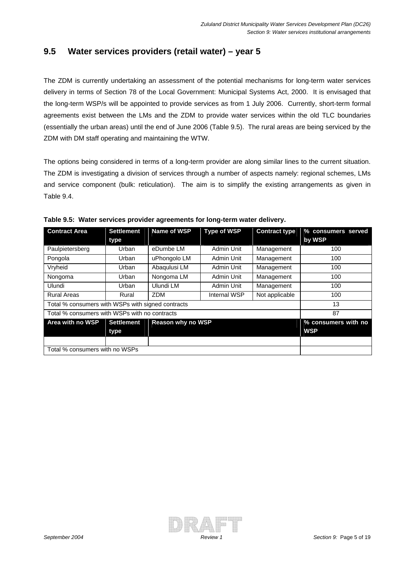#### **9.5 Water services providers (retail water) – year 5**

The ZDM is currently undertaking an assessment of the potential mechanisms for long-term water services delivery in terms of Section 78 of the Local Government: Municipal Systems Act, 2000. It is envisaged that the long-term WSP/s will be appointed to provide services as from 1 July 2006. Currently, short-term formal agreements exist between the LMs and the ZDM to provide water services within the old TLC boundaries (essentially the urban areas) until the end of June 2006 (Table 9.5). The rural areas are being serviced by the ZDM with DM staff operating and maintaining the WTW.

The options being considered in terms of a long-term provider are along similar lines to the current situation. The ZDM is investigating a division of services through a number of aspects namely: regional schemes, LMs and service component (bulk: reticulation). The aim is to simplify the existing arrangements as given in Table 9.4.

| <b>Contract Area</b>                              | <b>Settlement</b><br>type | Name of WSP       | <b>Type of WSP</b> | <b>Contract type</b> | % consumers served<br>by WSP      |
|---------------------------------------------------|---------------------------|-------------------|--------------------|----------------------|-----------------------------------|
| Paulpietersberg                                   | Urban                     | eDumbe LM         | Admin Unit         | Management           | 100                               |
| Pongola                                           | Urban                     | uPhongolo LM      | Admin Unit         | Management           | 100                               |
| Vryheid                                           | Urban                     | Abaqulusi LM      | Admin Unit         | Management           | 100                               |
| Nongoma                                           | Urban                     | Nongoma LM        | Admin Unit         | Management           | 100                               |
| Ulundi                                            | Urban                     | Ulundi LM         | Admin Unit         | Management           | 100                               |
| <b>Rural Areas</b>                                | Rural                     | <b>ZDM</b>        | Internal WSP       | Not applicable       | 100                               |
| Total % consumers with WSPs with signed contracts |                           |                   |                    |                      | 13                                |
| Total % consumers with WSPs with no contracts     |                           |                   |                    |                      | 87                                |
| Area with no WSP                                  | <b>Settlement</b><br>type | Reason why no WSP |                    |                      | % consumers with no<br><b>WSP</b> |
|                                                   |                           |                   |                    |                      |                                   |
| Total % consumers with no WSPs                    |                           |                   |                    |                      |                                   |

**Table 9.5: Water services provider agreements for long-term water delivery.**

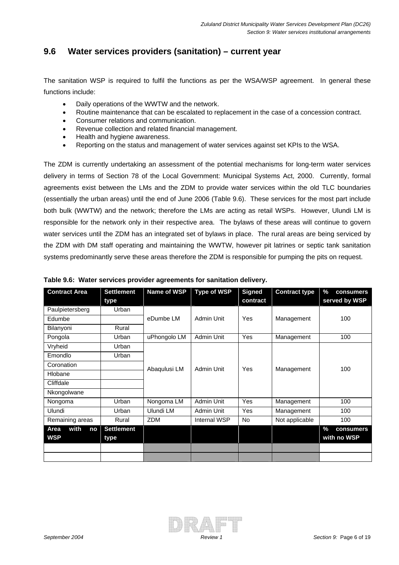#### **9.6 Water services providers (sanitation) – current year**

The sanitation WSP is required to fulfil the functions as per the WSA/WSP agreement. In general these functions include:

- Daily operations of the WWTW and the network.
- Routine maintenance that can be escalated to replacement in the case of a concession contract.
- Consumer relations and communication.
- Revenue collection and related financial management.
- Health and hygiene awareness.
- Reporting on the status and management of water services against set KPIs to the WSA.

The ZDM is currently undertaking an assessment of the potential mechanisms for long-term water services delivery in terms of Section 78 of the Local Government: Municipal Systems Act, 2000. Currently, formal agreements exist between the LMs and the ZDM to provide water services within the old TLC boundaries (essentially the urban areas) until the end of June 2006 (Table 9.6). These services for the most part include both bulk (WWTW) and the network; therefore the LMs are acting as retail WSPs. However, Ulundi LM is responsible for the network only in their respective area. The bylaws of these areas will continue to govern water services until the ZDM has an integrated set of bylaws in place. The rural areas are being serviced by the ZDM with DM staff operating and maintaining the WWTW, however pit latrines or septic tank sanitation systems predominantly serve these areas therefore the ZDM is responsible for pumping the pits on request.

| <b>Contract Area</b> | <b>Settlement</b> | Name of WSP  | <b>Type of WSP</b> | <b>Signed</b> | <b>Contract type</b> | %<br>consumers    |
|----------------------|-------------------|--------------|--------------------|---------------|----------------------|-------------------|
|                      | type              |              |                    | contract      |                      | served by WSP     |
| Paulpietersberg      | Urban             |              |                    |               |                      |                   |
| Edumbe               |                   | eDumbe LM    | Admin Unit         | Yes           | Management           | 100               |
| Bilanyoni            | Rural             |              |                    |               |                      |                   |
| Pongola              | Urban             | uPhongolo LM | Admin Unit         | Yes           | Management           | 100               |
| Vryheid              | Urban             |              |                    |               |                      |                   |
| Emondlo              | Urban             |              |                    |               |                      |                   |
| Coronation           |                   | Abaqulusi LM | Admin Unit         | Yes           | Management           | 100               |
| Hlobane              |                   |              |                    |               |                      |                   |
| Cliffdale            |                   |              |                    |               |                      |                   |
| Nkongolwane          |                   |              |                    |               |                      |                   |
| Nongoma              | Urban             | Nongoma LM   | <b>Admin Unit</b>  | Yes           | Management           | 100               |
| Ulundi               | Urban             | Ulundi LM    | Admin Unit         | <b>Yes</b>    | Management           | 100               |
| Remaining areas      | Rural             | <b>ZDM</b>   | Internal WSP       | No.           | Not applicable       | 100               |
| with<br>Area<br>no   | <b>Settlement</b> |              |                    |               |                      | $\%$<br>consumers |
| <b>WSP</b>           | type              |              |                    |               |                      | with no WSP       |
|                      |                   |              |                    |               |                      |                   |
|                      |                   |              |                    |               |                      |                   |

| Table 9.6: Water services provider agreements for sanitation delivery. |  |  |
|------------------------------------------------------------------------|--|--|
|                                                                        |  |  |

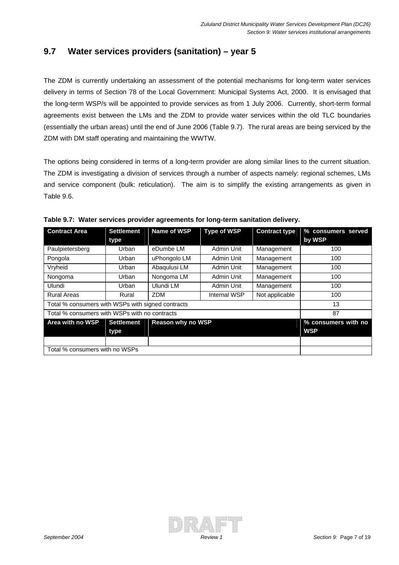#### **9.7 Water services providers (sanitation) – year 5**

The ZDM is currently undertaking an assessment of the potential mechanisms for long-term water services delivery in terms of Section 78 of the Local Government: Municipal Systems Act, 2000. It is envisaged that the long-term WSP/s will be appointed to provide services as from 1 July 2006. Currently, short-term formal agreements exist between the LMs and the ZDM to provide water services within the old TLC boundaries (essentially the urban areas) until the end of June 2006 (Table 9.7). The rural areas are being serviced by the ZDM with DM staff operating and maintaining the WWTW.

The options being considered in terms of a long-term provider are along similar lines to the current situation. The ZDM is investigating a division of services through a number of aspects namely: regional schemes, LMs and service component (bulk: reticulation). The aim is to simplify the existing arrangements as given in Table 9.6.

| <b>Contract Area</b>                              | <b>Settlement</b><br>type | Name of WSP              | <b>Type of WSP</b> | <b>Contract type</b> | % consumers served<br>by WSP      |
|---------------------------------------------------|---------------------------|--------------------------|--------------------|----------------------|-----------------------------------|
| Paulpietersberg                                   | Urban                     | eDumbe LM                | Admin Unit         | Management           | 100                               |
| Pongola                                           | Urban                     | uPhongolo LM             | Admin Unit         | Management           | 100                               |
| Vryheid                                           | Urban                     | Abaqulusi LM             | Admin Unit         | Management           | 100                               |
| Nongoma                                           | Urban                     | Nongoma LM               | Admin Unit         | Management           | 100                               |
| Ulundi                                            | Urban                     | Ulundi LM                | Admin Unit         | Management           | 100                               |
| <b>Rural Areas</b>                                | Rural                     | <b>ZDM</b>               | Internal WSP       | Not applicable       | 100                               |
| Total % consumers with WSPs with signed contracts |                           |                          |                    |                      | 13                                |
| Total % consumers with WSPs with no contracts     |                           |                          |                    |                      | 87                                |
| Area with no WSP                                  | <b>Settlement</b><br>type | <b>Reason why no WSP</b> |                    |                      | % consumers with no<br><b>WSP</b> |
|                                                   |                           |                          |                    |                      |                                   |
| Total % consumers with no WSPs                    |                           |                          |                    |                      |                                   |

**Table 9.7: Water services provider agreements for long-term sanitation delivery.**

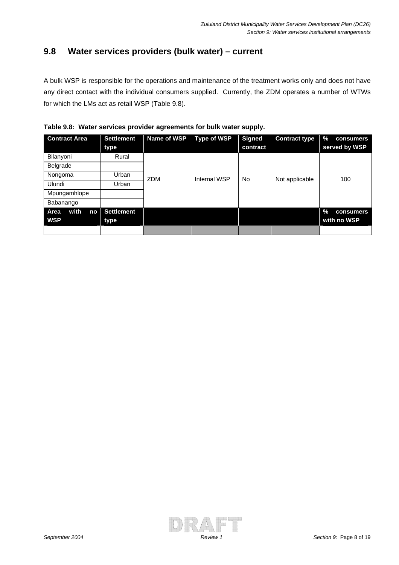#### **9.8 Water services providers (bulk water) – current**

A bulk WSP is responsible for the operations and maintenance of the treatment works only and does not have any direct contact with the individual consumers supplied. Currently, the ZDM operates a number of WTWs for which the LMs act as retail WSP (Table 9.8).

| Table 9.8: Water services provider agreements for bulk water supply. |  |  |  |  |  |  |
|----------------------------------------------------------------------|--|--|--|--|--|--|
|----------------------------------------------------------------------|--|--|--|--|--|--|

| <b>Contract Area</b> | <b>Settlement</b><br>type | Name of WSP | <b>Type of WSP</b> | <b>Signed</b><br>contract | <b>Contract type</b> | $\%$<br>consumers<br>served by WSP |
|----------------------|---------------------------|-------------|--------------------|---------------------------|----------------------|------------------------------------|
| Bilanyoni            | Rural                     |             |                    |                           |                      |                                    |
| Belgrade             |                           |             |                    |                           |                      |                                    |
| Nongoma              | Urban                     | <b>ZDM</b>  | Internal WSP       | No                        | Not applicable       | 100                                |
| Ulundi               | Urban                     |             |                    |                           |                      |                                    |
| Mpungamhlope         |                           |             |                    |                           |                      |                                    |
| Babanango            |                           |             |                    |                           |                      |                                    |
| with<br>Area<br>no   | <b>Settlement</b>         |             |                    |                           |                      | $\%$<br>consumers                  |
| <b>WSP</b>           | type                      |             |                    |                           |                      | with no WSP                        |
|                      |                           |             |                    |                           |                      |                                    |

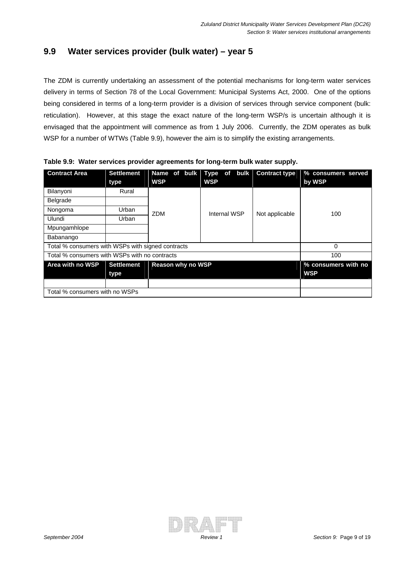#### **9.9 Water services provider (bulk water) – year 5**

The ZDM is currently undertaking an assessment of the potential mechanisms for long-term water services delivery in terms of Section 78 of the Local Government: Municipal Systems Act, 2000. One of the options being considered in terms of a long-term provider is a division of services through service component (bulk: reticulation). However, at this stage the exact nature of the long-term WSP/s is uncertain although it is envisaged that the appointment will commence as from 1 July 2006. Currently, the ZDM operates as bulk WSP for a number of WTWs (Table 9.9), however the aim is to simplify the existing arrangements.

| <b>Contract Area</b>                              | <b>Settlement</b><br>type | <b>WSP</b>               | Name of bulk   Type of bulk   Contract type<br><b>WSP</b> |                | % consumers served<br>by WSP      |
|---------------------------------------------------|---------------------------|--------------------------|-----------------------------------------------------------|----------------|-----------------------------------|
| Bilanyoni                                         | Rural                     |                          |                                                           |                |                                   |
| <b>Belgrade</b>                                   |                           |                          |                                                           |                |                                   |
| Nongoma                                           | Urban                     | <b>ZDM</b>               | Internal WSP                                              | Not applicable | 100                               |
| Ulundi                                            | Urban                     |                          |                                                           |                |                                   |
| Mpungamhlope                                      |                           |                          |                                                           |                |                                   |
| Babanango                                         |                           |                          |                                                           |                |                                   |
| Total % consumers with WSPs with signed contracts |                           |                          |                                                           |                | 0                                 |
| Total % consumers with WSPs with no contracts     |                           |                          |                                                           |                | 100                               |
| Area with no WSP                                  | <b>Settlement</b><br>type | <b>Reason why no WSP</b> |                                                           |                | % consumers with no<br><b>WSP</b> |
|                                                   |                           |                          |                                                           |                |                                   |
| Total % consumers with no WSPs                    |                           |                          |                                                           |                |                                   |

**Table 9.9: Water services provider agreements for long-term bulk water supply.** 

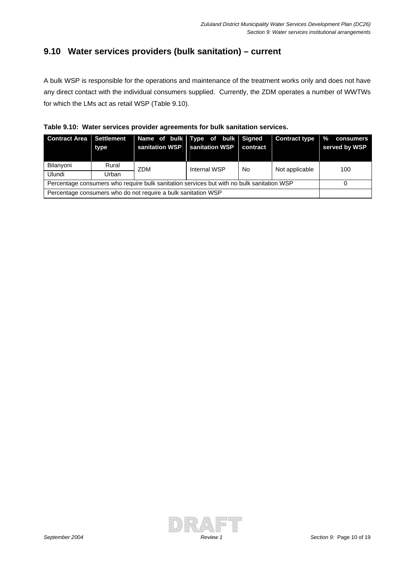## **9.10 Water services providers (bulk sanitation) – current**

A bulk WSP is responsible for the operations and maintenance of the treatment works only and does not have any direct contact with the individual consumers supplied. Currently, the ZDM operates a number of WWTWs for which the LMs act as retail WSP (Table 9.10).

|  | Table 9.10: Water services provider agreements for bulk sanitation services. |
|--|------------------------------------------------------------------------------|
|  |                                                                              |

| <b>Contract Area</b> Settlement                                                           | type  | Name of bulk Type of bulk Signed | sanitation WSP   sanitation WSP | contract | <b>Contract type</b> | $\mathcal{A}$<br>consumers<br>served by WSP |
|-------------------------------------------------------------------------------------------|-------|----------------------------------|---------------------------------|----------|----------------------|---------------------------------------------|
| Bilanyoni                                                                                 | Rural | <b>ZDM</b>                       | Internal WSP                    | No.      | Not applicable       | 100                                         |
| Ulundi                                                                                    | Urban |                                  |                                 |          |                      |                                             |
| Percentage consumers who require bulk sanitation services but with no bulk sanitation WSP |       |                                  |                                 |          |                      |                                             |
| Percentage consumers who do not require a bulk sanitation WSP                             |       |                                  |                                 |          |                      |                                             |

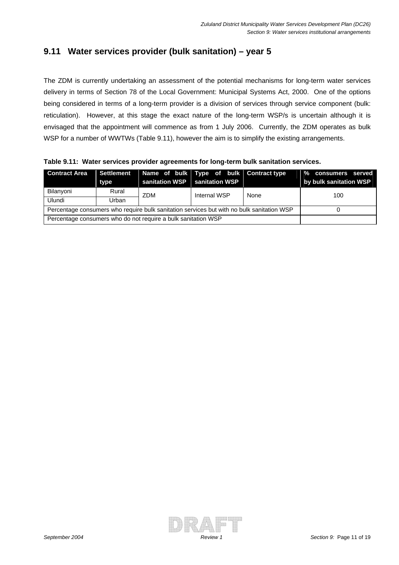## **9.11 Water services provider (bulk sanitation) – year 5**

The ZDM is currently undertaking an assessment of the potential mechanisms for long-term water services delivery in terms of Section 78 of the Local Government: Municipal Systems Act, 2000. One of the options being considered in terms of a long-term provider is a division of services through service component (bulk: reticulation). However, at this stage the exact nature of the long-term WSP/s is uncertain although it is envisaged that the appointment will commence as from 1 July 2006. Currently, the ZDM operates as bulk WSP for a number of WWTWs (Table 9.11), however the aim is to simplify the existing arrangements.

**Table 9.11: Water services provider agreements for long-term bulk sanitation services.** 

| <b>Contract Area</b>                                                                      | Settlement<br>type | Name of bulk Type of bulk Contract type<br>sanitation WSP   sanitation WSP |              |      | % consumers served<br>by bulk sanitation WSP |
|-------------------------------------------------------------------------------------------|--------------------|----------------------------------------------------------------------------|--------------|------|----------------------------------------------|
| Bilanyoni                                                                                 | Rural              | ZDM                                                                        | Internal WSP | None | 100                                          |
| Ulundi                                                                                    | Urban              |                                                                            |              |      |                                              |
| Percentage consumers who require bulk sanitation services but with no bulk sanitation WSP |                    |                                                                            |              |      |                                              |
| Percentage consumers who do not require a bulk sanitation WSP                             |                    |                                                                            |              |      |                                              |

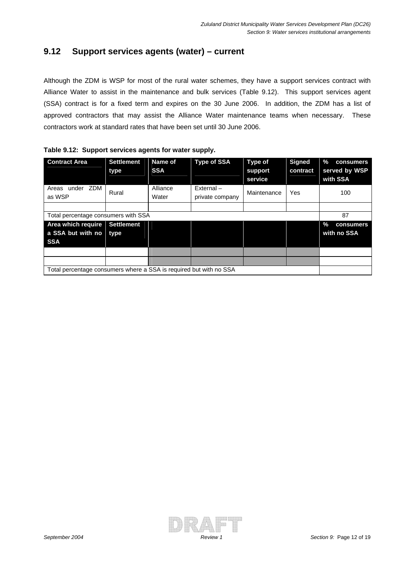#### **9.12 Support services agents (water) – current**

Although the ZDM is WSP for most of the rural water schemes, they have a support services contract with Alliance Water to assist in the maintenance and bulk services (Table 9.12). This support services agent (SSA) contract is for a fixed term and expires on the 30 June 2006. In addition, the ZDM has a list of approved contractors that may assist the Alliance Water maintenance teams when necessary. These contractors work at standard rates that have been set until 30 June 2006.

| <b>Contract Area</b>                                               | <b>Settlement</b><br>type | Name of<br><b>SSA</b> | <b>Type of SSA</b> | <b>Type of</b><br>support<br>service | <b>Signed</b><br>contract | %<br>consumers<br>served by WSP<br>with SSA |
|--------------------------------------------------------------------|---------------------------|-----------------------|--------------------|--------------------------------------|---------------------------|---------------------------------------------|
| under ZDM<br>Areas                                                 | Rural                     | Alliance              | $External -$       | Maintenance                          | Yes                       | 100                                         |
| as WSP                                                             |                           | Water                 | private company    |                                      |                           |                                             |
|                                                                    |                           |                       |                    |                                      |                           |                                             |
| Total percentage consumers with SSA                                |                           |                       |                    |                                      |                           | 87                                          |
| Area which require                                                 | <b>Settlement</b>         |                       |                    |                                      |                           | $\%$<br>consumers                           |
| a SSA but with no                                                  | type                      |                       |                    |                                      |                           | with no SSA                                 |
| <b>SSA</b>                                                         |                           |                       |                    |                                      |                           |                                             |
|                                                                    |                           |                       |                    |                                      |                           |                                             |
|                                                                    |                           |                       |                    |                                      |                           |                                             |
| Total percentage consumers where a SSA is required but with no SSA |                           |                       |                    |                                      |                           |                                             |

|  | Table 9.12: Support services agents for water supply. |  |  |
|--|-------------------------------------------------------|--|--|
|--|-------------------------------------------------------|--|--|

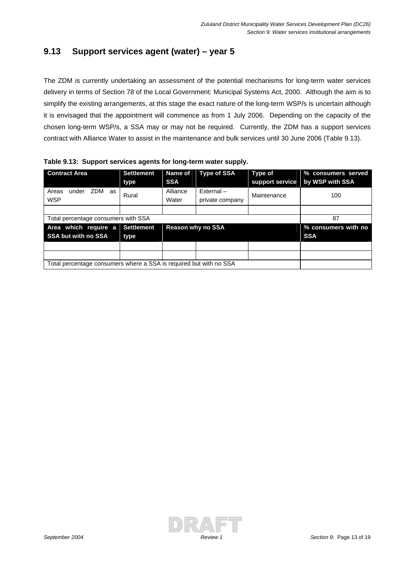#### **9.13 Support services agent (water) – year 5**

The ZDM is currently undertaking an assessment of the potential mechanisms for long-term water services delivery in terms of Section 78 of the Local Government: Municipal Systems Act, 2000. Although the aim is to simplify the existing arrangements, at this stage the exact nature of the long-term WSP/s is uncertain although it is envisaged that the appointment will commence as from 1 July 2006. Depending on the capacity of the chosen long-term WSP/s, a SSA may or may not be required. Currently, the ZDM has a support services contract with Alliance Water to assist in the maintenance and bulk services until 30 June 2006 (Table 9.13).

| <b>Contract Area</b>                                               | <b>Settlement</b><br>type | <b>Name of</b><br><b>SSA</b> | <b>Type of SSA</b>           | <b>Type of</b><br>support service | % consumers served<br>by WSP with SSA |
|--------------------------------------------------------------------|---------------------------|------------------------------|------------------------------|-----------------------------------|---------------------------------------|
| under ZDM as<br>Areas<br><b>WSP</b>                                | Rural                     | Alliance<br>Water            | External-<br>private company | Maintenance                       | 100                                   |
|                                                                    |                           |                              |                              |                                   |                                       |
| Total percentage consumers with SSA                                |                           |                              |                              |                                   | 87                                    |
| Area which require a                                               | <b>Settlement</b>         |                              | <b>Reason why no SSA</b>     |                                   | % consumers with no                   |
| <b>SSA but with no SSA</b>                                         | type                      |                              |                              |                                   | <b>SSA</b>                            |
|                                                                    |                           |                              |                              |                                   |                                       |
|                                                                    |                           |                              |                              |                                   |                                       |
| Total percentage consumers where a SSA is required but with no SSA |                           |                              |                              |                                   |                                       |

**Table 9.13: Support services agents for long-term water supply.** 

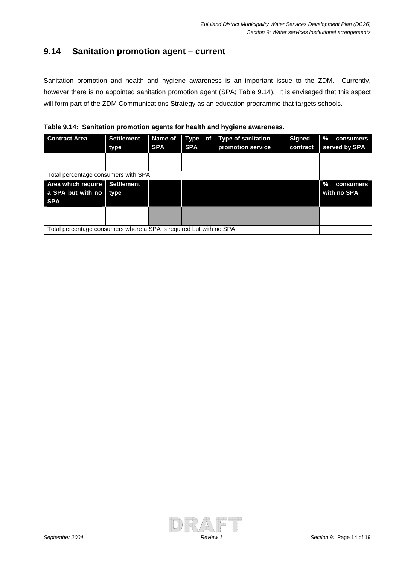#### **9.14 Sanitation promotion agent – current**

Sanitation promotion and health and hygiene awareness is an important issue to the ZDM. Currently, however there is no appointed sanitation promotion agent (SPA; Table 9.14). It is envisaged that this aspect will form part of the ZDM Communications Strategy as an education programme that targets schools.



| <b>Contract Area</b>                | <b>Settlement</b>                                                  | Name of    | of <sub>l</sub><br>Type | <b>Type of sanitation</b> | <b>Signed</b> | $\%$<br>consumers |  |  |
|-------------------------------------|--------------------------------------------------------------------|------------|-------------------------|---------------------------|---------------|-------------------|--|--|
|                                     | type                                                               | <b>SPA</b> | <b>SPA</b>              | promotion service         | contract      | served by SPA     |  |  |
|                                     |                                                                    |            |                         |                           |               |                   |  |  |
|                                     |                                                                    |            |                         |                           |               |                   |  |  |
| Total percentage consumers with SPA |                                                                    |            |                         |                           |               |                   |  |  |
| Area which require                  | <b>Settlement</b>                                                  |            |                         |                           |               | ℅<br>consumers    |  |  |
| a SPA but with no type              |                                                                    |            |                         |                           |               | with no SPA       |  |  |
| <b>SPA</b>                          |                                                                    |            |                         |                           |               |                   |  |  |
|                                     |                                                                    |            |                         |                           |               |                   |  |  |
|                                     |                                                                    |            |                         |                           |               |                   |  |  |
|                                     | Total percentage consumers where a SPA is required but with no SPA |            |                         |                           |               |                   |  |  |

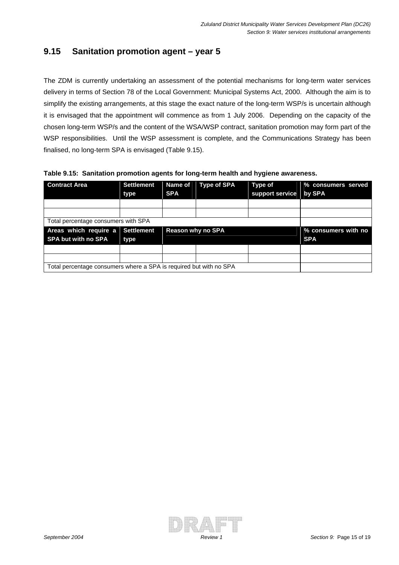#### **9.15 Sanitation promotion agent – year 5**

The ZDM is currently undertaking an assessment of the potential mechanisms for long-term water services delivery in terms of Section 78 of the Local Government: Municipal Systems Act, 2000. Although the aim is to simplify the existing arrangements, at this stage the exact nature of the long-term WSP/s is uncertain although it is envisaged that the appointment will commence as from 1 July 2006. Depending on the capacity of the chosen long-term WSP/s and the content of the WSA/WSP contract, sanitation promotion may form part of the WSP responsibilities. Until the WSP assessment is complete, and the Communications Strategy has been finalised, no long-term SPA is envisaged (Table 9.15).

| <b>Contract Area</b>                | <b>Settlement</b> | <b>Name of</b> | <b>Type of SPA</b>       | <b>Type of</b>  | % consumers served  |
|-------------------------------------|-------------------|----------------|--------------------------|-----------------|---------------------|
|                                     | type              | <b>SPA</b>     |                          | support service | by SPA              |
|                                     |                   |                |                          |                 |                     |
|                                     |                   |                |                          |                 |                     |
| Total percentage consumers with SPA |                   |                |                          |                 |                     |
|                                     |                   |                |                          |                 |                     |
| Areas which require a               | <b>Settlement</b> |                | <b>Reason why no SPA</b> |                 | % consumers with no |
| <b>SPA but with no SPA</b>          | type              |                |                          |                 | <b>SPA</b>          |
|                                     |                   |                |                          |                 |                     |
|                                     |                   |                |                          |                 |                     |

**Table 9.15: Sanitation promotion agents for long-term health and hygiene awareness.** 

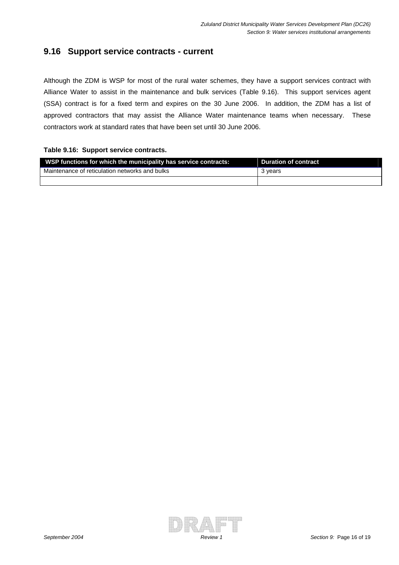#### **9.16 Support service contracts - current**

Although the ZDM is WSP for most of the rural water schemes, they have a support services contract with Alliance Water to assist in the maintenance and bulk services (Table 9.16). This support services agent (SSA) contract is for a fixed term and expires on the 30 June 2006. In addition, the ZDM has a list of approved contractors that may assist the Alliance Water maintenance teams when necessary. These contractors work at standard rates that have been set until 30 June 2006.

#### **Table 9.16: Support service contracts.**

| WSP functions for which the municipality has service contracts: | <b>Duration of contract</b> |
|-----------------------------------------------------------------|-----------------------------|
| Maintenance of reticulation networks and bulks                  | 3 vears                     |
|                                                                 |                             |

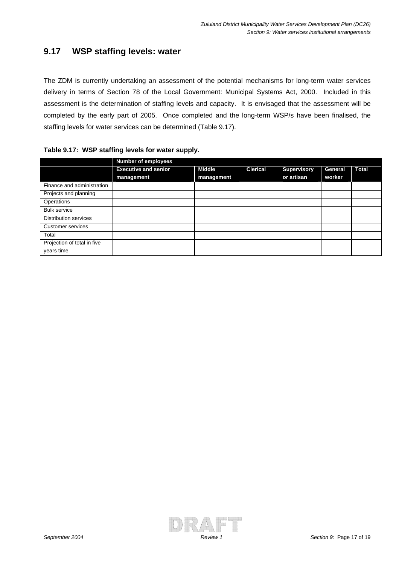#### **9.17 WSP staffing levels: water**

The ZDM is currently undertaking an assessment of the potential mechanisms for long-term water services delivery in terms of Section 78 of the Local Government: Municipal Systems Act, 2000. Included in this assessment is the determination of staffing levels and capacity. It is envisaged that the assessment will be completed by the early part of 2005. Once completed and the long-term WSP/s have been finalised, the staffing levels for water services can be determined (Table 9.17).

|                             | <b>Number of employees</b>  |               |                 |                    |         |              |  |  |  |
|-----------------------------|-----------------------------|---------------|-----------------|--------------------|---------|--------------|--|--|--|
|                             | <b>Executive and senior</b> | <b>Middle</b> | <b>Clerical</b> | <b>Supervisory</b> | General | <b>Total</b> |  |  |  |
|                             | management                  | management    |                 | or artisan         | worker  |              |  |  |  |
| Finance and administration  |                             |               |                 |                    |         |              |  |  |  |
| Projects and planning       |                             |               |                 |                    |         |              |  |  |  |
| Operations                  |                             |               |                 |                    |         |              |  |  |  |
| <b>Bulk service</b>         |                             |               |                 |                    |         |              |  |  |  |
| Distribution services       |                             |               |                 |                    |         |              |  |  |  |
| <b>Customer services</b>    |                             |               |                 |                    |         |              |  |  |  |
| Total                       |                             |               |                 |                    |         |              |  |  |  |
| Projection of total in five |                             |               |                 |                    |         |              |  |  |  |
| years time                  |                             |               |                 |                    |         |              |  |  |  |

#### **Table 9.17: WSP staffing levels for water supply.**

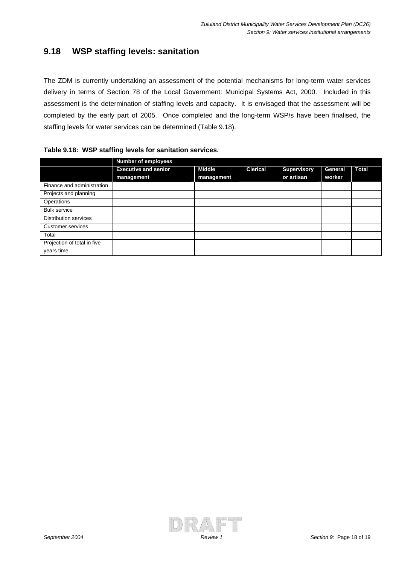#### **9.18 WSP staffing levels: sanitation**

The ZDM is currently undertaking an assessment of the potential mechanisms for long-term water services delivery in terms of Section 78 of the Local Government: Municipal Systems Act, 2000. Included in this assessment is the determination of staffing levels and capacity. It is envisaged that the assessment will be completed by the early part of 2005. Once completed and the long-term WSP/s have been finalised, the staffing levels for water services can be determined (Table 9.18).

|                              | <b>Number of employees</b>  |               |                 |                    |         |              |  |  |
|------------------------------|-----------------------------|---------------|-----------------|--------------------|---------|--------------|--|--|
|                              | <b>Executive and senior</b> | <b>Middle</b> | <b>Clerical</b> | <b>Supervisory</b> | General | <b>Total</b> |  |  |
|                              | management                  | management    |                 | or artisan         | worker  |              |  |  |
| Finance and administration   |                             |               |                 |                    |         |              |  |  |
| Projects and planning        |                             |               |                 |                    |         |              |  |  |
| Operations                   |                             |               |                 |                    |         |              |  |  |
| <b>Bulk service</b>          |                             |               |                 |                    |         |              |  |  |
| <b>Distribution services</b> |                             |               |                 |                    |         |              |  |  |
| Customer services            |                             |               |                 |                    |         |              |  |  |
| Total                        |                             |               |                 |                    |         |              |  |  |
| Projection of total in five  |                             |               |                 |                    |         |              |  |  |
| years time                   |                             |               |                 |                    |         |              |  |  |

#### **Table 9.18: WSP staffing levels for sanitation services.**